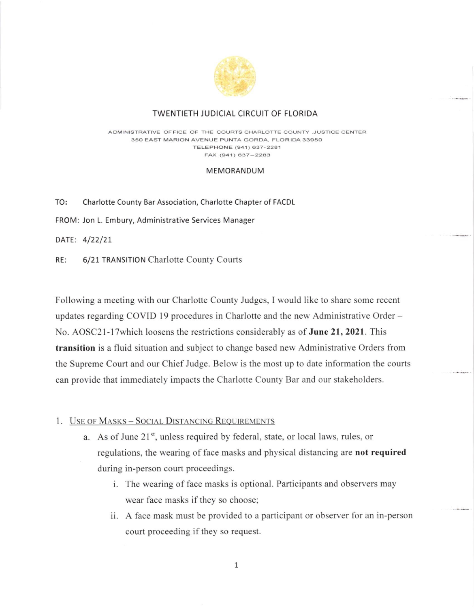

# TWENTIETH JUDICIAL CIRCUIT OF FLORIDA

ADMINISTRATIVE OFFICE OF THE COURTS CHARLOTTE COUNTY ,JUSTICE CENTER 35O EAST MARION AVENUE PUNTA GORDA, FLORIDA 3395O TELEPHONE (941) 637-2281  $FAX (941) 637 - 2283$ 

#### MEMORANDUM

TO: Charlotte County Bar Association, Charlotte Chapter of FACDL

FROM: Jon L. Embury, Administrative Services Manager

DATE: 4/22/21

RE: 6/21 TRANSITIoN Charlotte County Courts

Following a meeting with our Charlotte County Judges, I would like to share some recent updates regarding COVID 19 procedures in Charlotte and the new Administrative Order -No. AOSC21-17 which loosens the restrictions considerably as of June 21, 2021. This transition is a fluid situation and subject to change based new Administrative Orders from the Supreme Court and our Chief Judge. Below is the most up to date information the courts can provide that immediately impacts the Charlotte County Bar and our stakeholders.

## 1. USE OF MASKS - SOCIAL DISTANCING REQUIREMENTS

- a. As of June  $21<sup>st</sup>$ , unless required by federal, state, or local laws, rules, or regulations, the wearing of face masks and physical distancing are not required during in-person court proceedings.
	- i. The wearing of face masks is optional. Participants and observers may wear face masks if they so choose;
	- ii. A face mask must be provided to a participant or observer for an in-person court proceeding if they so request.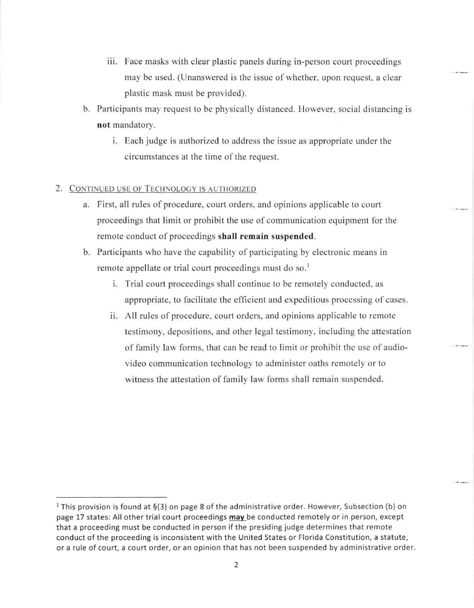- iii. Face masks with clear plastic panels during in-person court proceedings may be used. (Unanswered is the issue of whether, upon request, a clear plastic mask must be provided).
- b. Participants may request to be physically distanced. However, social distancing is not mandatory.
	- i. Each judge is authorized to address the issue as appropriate under the circumstances at the time of the request.

# 2. CONTINUED USE OF TECHNOLOGY IS AUTHORIZED

- a. First, all rules of procedure, court orders, and opinions applicable to court proceedings that limit or prohibit the use of communication equipment for the remote conduct of proceedings shall remain suspended.
- b. Participants who have the capability of participating by electronic means in remote appellate or trial court proceedings must do so.<sup>1</sup>
	- i. Trial court proceedings shall continue to be remotely conducted, as appropriate, to facilitate the efficient and expeditious processing of cases.
	- ii. All rules of procedure, court orders, and opinions applicable to remote testimony, depositions, and other legal testimony, including the aftestation of family law forms, that can be read to limit or prohibit the use of audiovideo communication technology to administer oaths remotely or to witness the attestation of family law forms shall remain suspended.

<sup>&</sup>lt;sup>1</sup> This provision is found at  $\S(3)$  on page 8 of the administrative order. However, Subsection (b) on page 17 states: All other trial court proceedings may be conducted remotely or in person, except that a proceeding must be conducted in person if the presiding judge determines that remote conduct of the proceeding is inconsistent with the United States or Florida Constitution, a statute, or a rule of court, a court order, or an opinion that has not been suspended by administrative order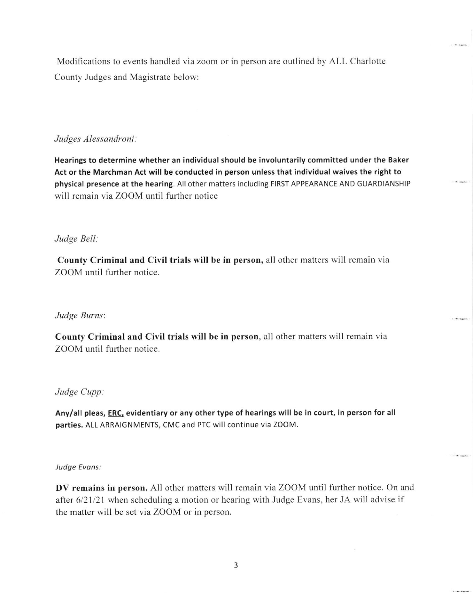Modifications to events handled via zoom or in person are outlined by ALL Charlotte County Judges and Magistrate below:

# Judges Alessandroni

Hearings to determine whether an individual should be involuntarily committed under the Baker Act or the Marchman Act will be conducted in person unless that individual waives the right to physical presence at the hearing. All other matters including FIRST APPEARANCE AND GUARDIANSHIP will remain via ZOOM until further notice

## Judge Bell

County Criminal and Civil trials will be in person, all other matters will remain via ZOOM until further notice.

#### Judge Burns

County Criminal and Civil trials will be in person, all other matters will remain via ZOOM until further notice.

#### Judge Cupp

Any/all pleas, ERC, evidentiary or any other type of hearings will be in court, in person for all parties. ALL ARRAIGNMENTS, CMC and PTC will continue via ZOOM.

#### Judge Evans:

DV remains in person. All other matters will remain via ZOOM until further notice. On and after 6/21/21 when scheduling a motion or hearing with Judge Evans, her JA will advise if the matter will be set via ZOOM or in person.

 $1.10 - 0.0000$